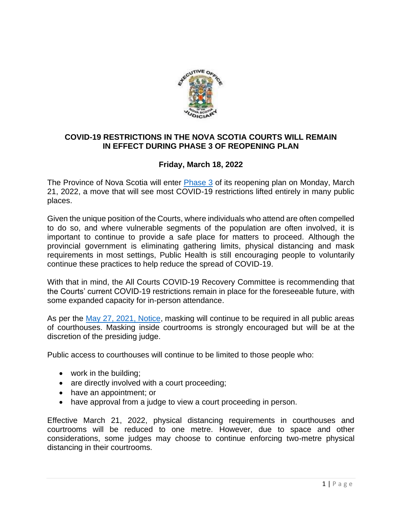

## **COVID-19 RESTRICTIONS IN THE NOVA SCOTIA COURTS WILL REMAIN IN EFFECT DURING PHASE 3 OF REOPENING PLAN**

## **Friday, March 18, 2022**

The Province of Nova Scotia will enter [Phase 3](https://novascotia.ca/reopening-plan/phase-three/) of its reopening plan on Monday, March 21, 2022, a move that will see most COVID-19 restrictions lifted entirely in many public places.

Given the unique position of the Courts, where individuals who attend are often compelled to do so, and where vulnerable segments of the population are often involved, it is important to continue to provide a safe place for matters to proceed. Although the provincial government is eliminating gathering limits, physical distancing and mask requirements in most settings, Public Health is still encouraging people to voluntarily continue these practices to help reduce the spread of COVID-19.

With that in mind, the All Courts COVID-19 Recovery Committee is recommending that the Courts' current COVID-19 restrictions remain in place for the foreseeable future, with some expanded capacity for in-person attendance.

As per the [May 27, 2021, Notice,](https://www.courts.ns.ca/News_of_Courts/documents/Masking_in_Courtrooms_Update_05_27_2021.pdf) masking will continue to be required in all public areas of courthouses. Masking inside courtrooms is strongly encouraged but will be at the discretion of the presiding judge.

Public access to courthouses will continue to be limited to those people who:

- work in the building;
- are directly involved with a court proceeding;
- have an appointment; or
- have approval from a judge to view a court proceeding in person.

Effective March 21, 2022, physical distancing requirements in courthouses and courtrooms will be reduced to one metre. However, due to space and other considerations, some judges may choose to continue enforcing two-metre physical distancing in their courtrooms.